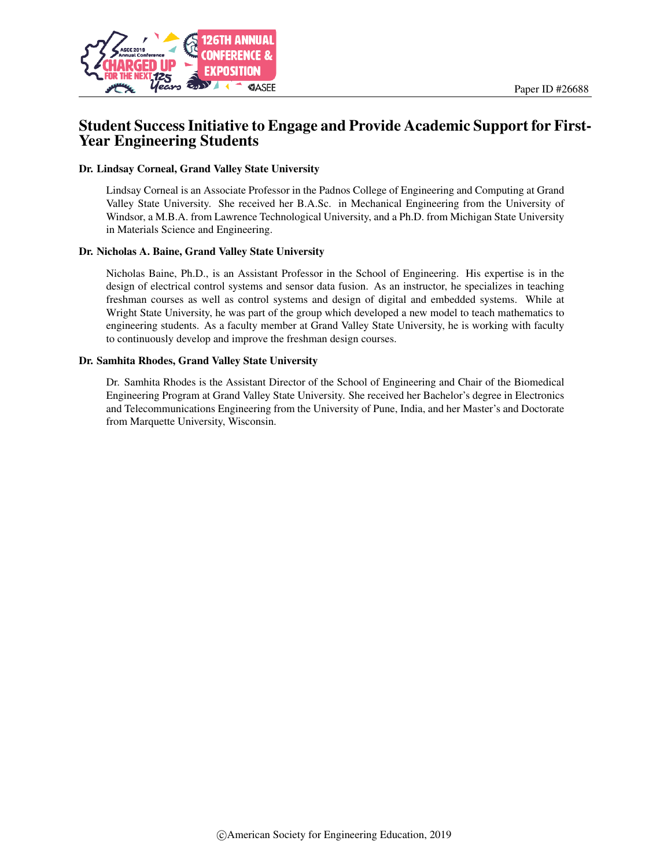

# Student Success Initiative to Engage and Provide Academic Support for First-Year Engineering Students

#### Dr. Lindsay Corneal, Grand Valley State University

Lindsay Corneal is an Associate Professor in the Padnos College of Engineering and Computing at Grand Valley State University. She received her B.A.Sc. in Mechanical Engineering from the University of Windsor, a M.B.A. from Lawrence Technological University, and a Ph.D. from Michigan State University in Materials Science and Engineering.

#### Dr. Nicholas A. Baine, Grand Valley State University

Nicholas Baine, Ph.D., is an Assistant Professor in the School of Engineering. His expertise is in the design of electrical control systems and sensor data fusion. As an instructor, he specializes in teaching freshman courses as well as control systems and design of digital and embedded systems. While at Wright State University, he was part of the group which developed a new model to teach mathematics to engineering students. As a faculty member at Grand Valley State University, he is working with faculty to continuously develop and improve the freshman design courses.

#### Dr. Samhita Rhodes, Grand Valley State University

Dr. Samhita Rhodes is the Assistant Director of the School of Engineering and Chair of the Biomedical Engineering Program at Grand Valley State University. She received her Bachelor's degree in Electronics and Telecommunications Engineering from the University of Pune, India, and her Master's and Doctorate from Marquette University, Wisconsin.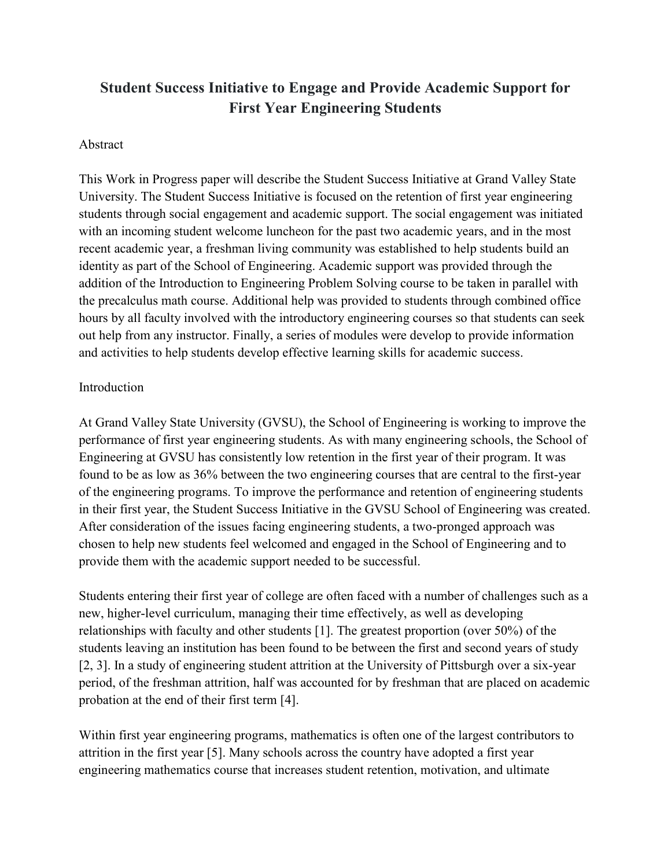# **Student Success Initiative to Engage and Provide Academic Support for First Year Engineering Students**

### Abstract

This Work in Progress paper will describe the Student Success Initiative at Grand Valley State University. The Student Success Initiative is focused on the retention of first year engineering students through social engagement and academic support. The social engagement was initiated with an incoming student welcome luncheon for the past two academic years, and in the most recent academic year, a freshman living community was established to help students build an identity as part of the School of Engineering. Academic support was provided through the addition of the Introduction to Engineering Problem Solving course to be taken in parallel with the precalculus math course. Additional help was provided to students through combined office hours by all faculty involved with the introductory engineering courses so that students can seek out help from any instructor. Finally, a series of modules were develop to provide information and activities to help students develop effective learning skills for academic success.

#### **Introduction**

At Grand Valley State University (GVSU), the School of Engineering is working to improve the performance of first year engineering students. As with many engineering schools, the School of Engineering at GVSU has consistently low retention in the first year of their program. It was found to be as low as 36% between the two engineering courses that are central to the first-year of the engineering programs. To improve the performance and retention of engineering students in their first year, the Student Success Initiative in the GVSU School of Engineering was created. After consideration of the issues facing engineering students, a two-pronged approach was chosen to help new students feel welcomed and engaged in the School of Engineering and to provide them with the academic support needed to be successful.

Students entering their first year of college are often faced with a number of challenges such as a new, higher-level curriculum, managing their time effectively, as well as developing relationships with faculty and other students [1]. The greatest proportion (over 50%) of the students leaving an institution has been found to be between the first and second years of study [2, 3]. In a study of engineering student attrition at the University of Pittsburgh over a six-year period, of the freshman attrition, half was accounted for by freshman that are placed on academic probation at the end of their first term [4].

Within first year engineering programs, mathematics is often one of the largest contributors to attrition in the first year [5]. Many schools across the country have adopted a first year engineering mathematics course that increases student retention, motivation, and ultimate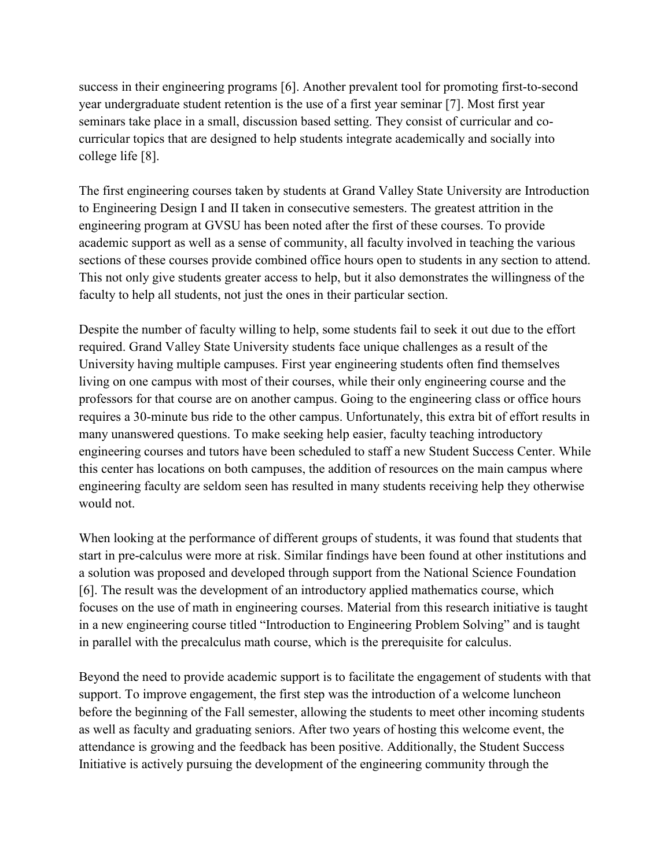success in their engineering programs [6]. Another prevalent tool for promoting first-to-second year undergraduate student retention is the use of a first year seminar [7]. Most first year seminars take place in a small, discussion based setting. They consist of curricular and cocurricular topics that are designed to help students integrate academically and socially into college life [8].

The first engineering courses taken by students at Grand Valley State University are Introduction to Engineering Design I and II taken in consecutive semesters. The greatest attrition in the engineering program at GVSU has been noted after the first of these courses. To provide academic support as well as a sense of community, all faculty involved in teaching the various sections of these courses provide combined office hours open to students in any section to attend. This not only give students greater access to help, but it also demonstrates the willingness of the faculty to help all students, not just the ones in their particular section.

Despite the number of faculty willing to help, some students fail to seek it out due to the effort required. Grand Valley State University students face unique challenges as a result of the University having multiple campuses. First year engineering students often find themselves living on one campus with most of their courses, while their only engineering course and the professors for that course are on another campus. Going to the engineering class or office hours requires a 30-minute bus ride to the other campus. Unfortunately, this extra bit of effort results in many unanswered questions. To make seeking help easier, faculty teaching introductory engineering courses and tutors have been scheduled to staff a new Student Success Center. While this center has locations on both campuses, the addition of resources on the main campus where engineering faculty are seldom seen has resulted in many students receiving help they otherwise would not.

When looking at the performance of different groups of students, it was found that students that start in pre-calculus were more at risk. Similar findings have been found at other institutions and a solution was proposed and developed through support from the National Science Foundation [6]. The result was the development of an introductory applied mathematics course, which focuses on the use of math in engineering courses. Material from this research initiative is taught in a new engineering course titled "Introduction to Engineering Problem Solving" and is taught in parallel with the precalculus math course, which is the prerequisite for calculus.

Beyond the need to provide academic support is to facilitate the engagement of students with that support. To improve engagement, the first step was the introduction of a welcome luncheon before the beginning of the Fall semester, allowing the students to meet other incoming students as well as faculty and graduating seniors. After two years of hosting this welcome event, the attendance is growing and the feedback has been positive. Additionally, the Student Success Initiative is actively pursuing the development of the engineering community through the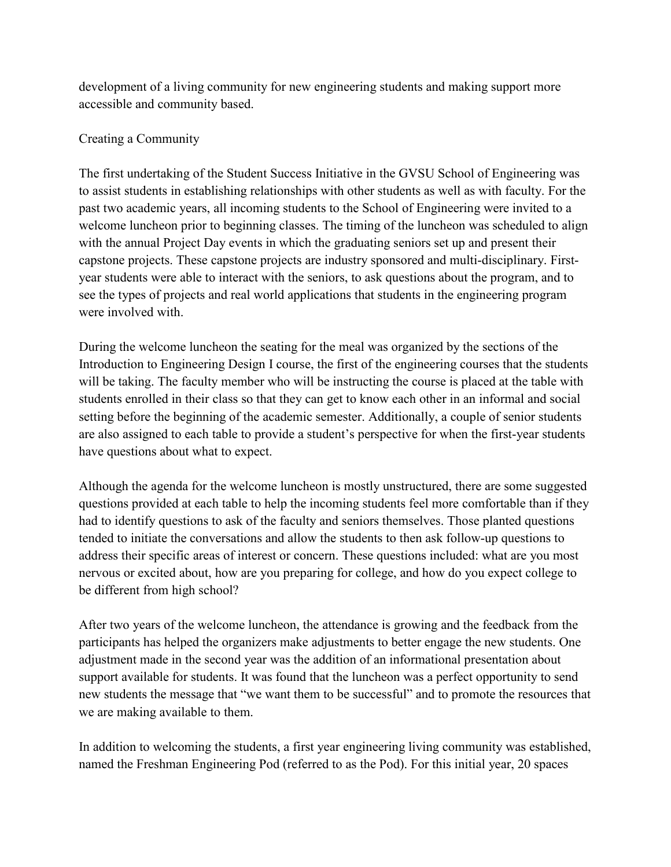development of a living community for new engineering students and making support more accessible and community based.

## Creating a Community

The first undertaking of the Student Success Initiative in the GVSU School of Engineering was to assist students in establishing relationships with other students as well as with faculty. For the past two academic years, all incoming students to the School of Engineering were invited to a welcome luncheon prior to beginning classes. The timing of the luncheon was scheduled to align with the annual Project Day events in which the graduating seniors set up and present their capstone projects. These capstone projects are industry sponsored and multi-disciplinary. Firstyear students were able to interact with the seniors, to ask questions about the program, and to see the types of projects and real world applications that students in the engineering program were involved with.

During the welcome luncheon the seating for the meal was organized by the sections of the Introduction to Engineering Design I course, the first of the engineering courses that the students will be taking. The faculty member who will be instructing the course is placed at the table with students enrolled in their class so that they can get to know each other in an informal and social setting before the beginning of the academic semester. Additionally, a couple of senior students are also assigned to each table to provide a student's perspective for when the first-year students have questions about what to expect.

Although the agenda for the welcome luncheon is mostly unstructured, there are some suggested questions provided at each table to help the incoming students feel more comfortable than if they had to identify questions to ask of the faculty and seniors themselves. Those planted questions tended to initiate the conversations and allow the students to then ask follow-up questions to address their specific areas of interest or concern. These questions included: what are you most nervous or excited about, how are you preparing for college, and how do you expect college to be different from high school?

After two years of the welcome luncheon, the attendance is growing and the feedback from the participants has helped the organizers make adjustments to better engage the new students. One adjustment made in the second year was the addition of an informational presentation about support available for students. It was found that the luncheon was a perfect opportunity to send new students the message that "we want them to be successful" and to promote the resources that we are making available to them.

In addition to welcoming the students, a first year engineering living community was established, named the Freshman Engineering Pod (referred to as the Pod). For this initial year, 20 spaces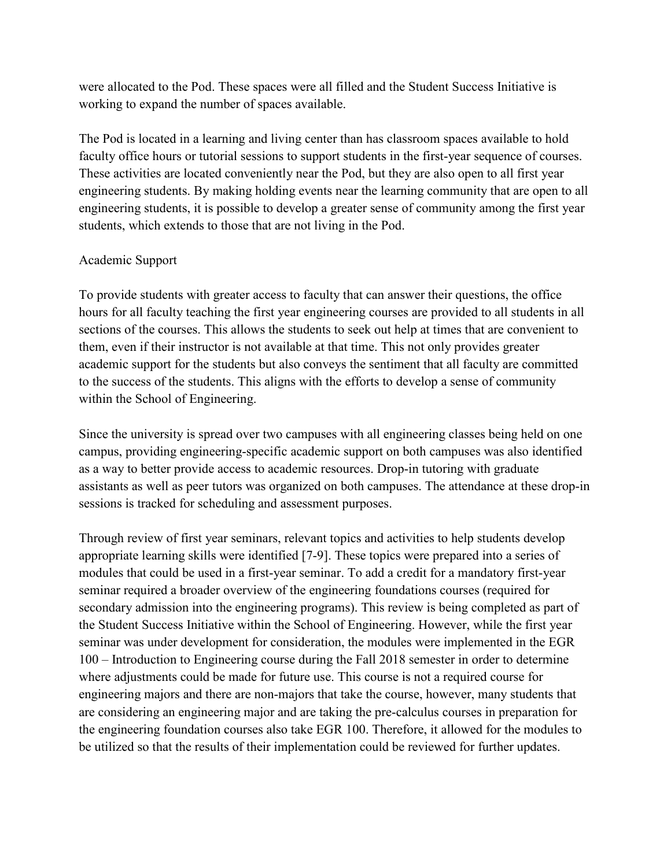were allocated to the Pod. These spaces were all filled and the Student Success Initiative is working to expand the number of spaces available.

The Pod is located in a learning and living center than has classroom spaces available to hold faculty office hours or tutorial sessions to support students in the first-year sequence of courses. These activities are located conveniently near the Pod, but they are also open to all first year engineering students. By making holding events near the learning community that are open to all engineering students, it is possible to develop a greater sense of community among the first year students, which extends to those that are not living in the Pod.

#### Academic Support

To provide students with greater access to faculty that can answer their questions, the office hours for all faculty teaching the first year engineering courses are provided to all students in all sections of the courses. This allows the students to seek out help at times that are convenient to them, even if their instructor is not available at that time. This not only provides greater academic support for the students but also conveys the sentiment that all faculty are committed to the success of the students. This aligns with the efforts to develop a sense of community within the School of Engineering.

Since the university is spread over two campuses with all engineering classes being held on one campus, providing engineering-specific academic support on both campuses was also identified as a way to better provide access to academic resources. Drop-in tutoring with graduate assistants as well as peer tutors was organized on both campuses. The attendance at these drop-in sessions is tracked for scheduling and assessment purposes.

Through review of first year seminars, relevant topics and activities to help students develop appropriate learning skills were identified [7-9]. These topics were prepared into a series of modules that could be used in a first-year seminar. To add a credit for a mandatory first-year seminar required a broader overview of the engineering foundations courses (required for secondary admission into the engineering programs). This review is being completed as part of the Student Success Initiative within the School of Engineering. However, while the first year seminar was under development for consideration, the modules were implemented in the EGR 100 – Introduction to Engineering course during the Fall 2018 semester in order to determine where adjustments could be made for future use. This course is not a required course for engineering majors and there are non-majors that take the course, however, many students that are considering an engineering major and are taking the pre-calculus courses in preparation for the engineering foundation courses also take EGR 100. Therefore, it allowed for the modules to be utilized so that the results of their implementation could be reviewed for further updates.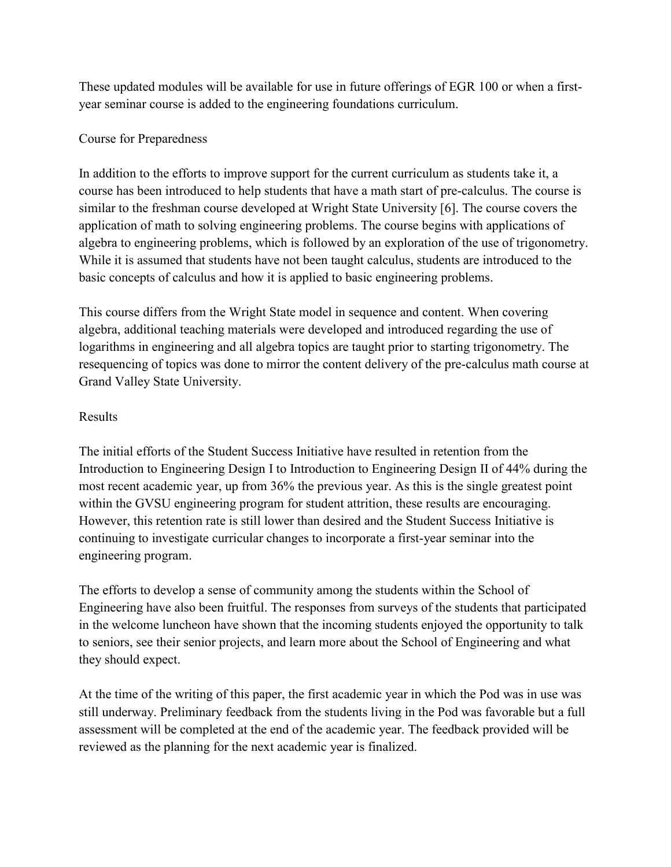These updated modules will be available for use in future offerings of EGR 100 or when a firstyear seminar course is added to the engineering foundations curriculum.

# Course for Preparedness

In addition to the efforts to improve support for the current curriculum as students take it, a course has been introduced to help students that have a math start of pre-calculus. The course is similar to the freshman course developed at Wright State University [6]. The course covers the application of math to solving engineering problems. The course begins with applications of algebra to engineering problems, which is followed by an exploration of the use of trigonometry. While it is assumed that students have not been taught calculus, students are introduced to the basic concepts of calculus and how it is applied to basic engineering problems.

This course differs from the Wright State model in sequence and content. When covering algebra, additional teaching materials were developed and introduced regarding the use of logarithms in engineering and all algebra topics are taught prior to starting trigonometry. The resequencing of topics was done to mirror the content delivery of the pre-calculus math course at Grand Valley State University.

# Results

The initial efforts of the Student Success Initiative have resulted in retention from the Introduction to Engineering Design I to Introduction to Engineering Design II of 44% during the most recent academic year, up from 36% the previous year. As this is the single greatest point within the GVSU engineering program for student attrition, these results are encouraging. However, this retention rate is still lower than desired and the Student Success Initiative is continuing to investigate curricular changes to incorporate a first-year seminar into the engineering program.

The efforts to develop a sense of community among the students within the School of Engineering have also been fruitful. The responses from surveys of the students that participated in the welcome luncheon have shown that the incoming students enjoyed the opportunity to talk to seniors, see their senior projects, and learn more about the School of Engineering and what they should expect.

At the time of the writing of this paper, the first academic year in which the Pod was in use was still underway. Preliminary feedback from the students living in the Pod was favorable but a full assessment will be completed at the end of the academic year. The feedback provided will be reviewed as the planning for the next academic year is finalized.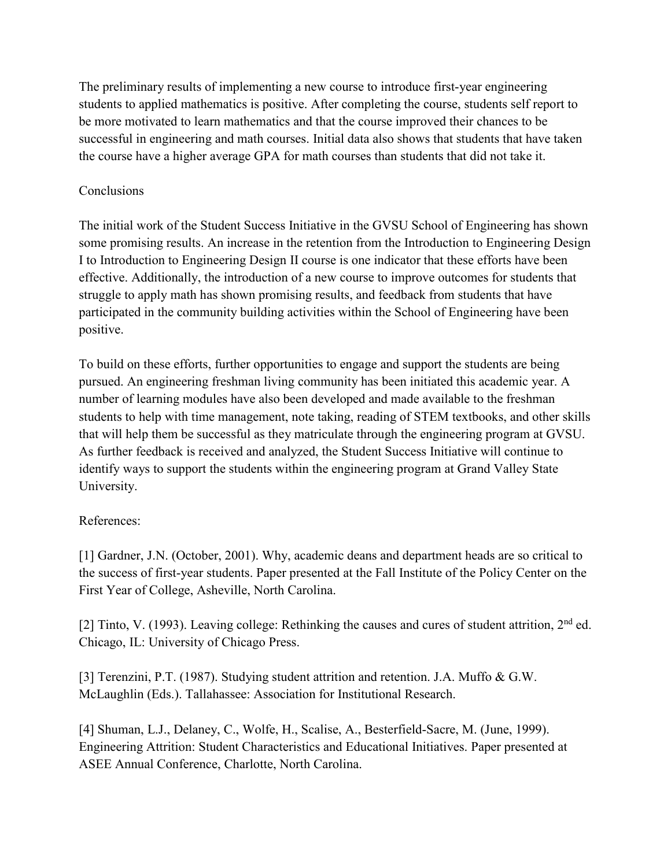The preliminary results of implementing a new course to introduce first-year engineering students to applied mathematics is positive. After completing the course, students self report to be more motivated to learn mathematics and that the course improved their chances to be successful in engineering and math courses. Initial data also shows that students that have taken the course have a higher average GPA for math courses than students that did not take it.

## **Conclusions**

The initial work of the Student Success Initiative in the GVSU School of Engineering has shown some promising results. An increase in the retention from the Introduction to Engineering Design I to Introduction to Engineering Design II course is one indicator that these efforts have been effective. Additionally, the introduction of a new course to improve outcomes for students that struggle to apply math has shown promising results, and feedback from students that have participated in the community building activities within the School of Engineering have been positive.

To build on these efforts, further opportunities to engage and support the students are being pursued. An engineering freshman living community has been initiated this academic year. A number of learning modules have also been developed and made available to the freshman students to help with time management, note taking, reading of STEM textbooks, and other skills that will help them be successful as they matriculate through the engineering program at GVSU. As further feedback is received and analyzed, the Student Success Initiative will continue to identify ways to support the students within the engineering program at Grand Valley State University.

### References:

[1] Gardner, J.N. (October, 2001). Why, academic deans and department heads are so critical to the success of first-year students. Paper presented at the Fall Institute of the Policy Center on the First Year of College, Asheville, North Carolina.

[2] Tinto, V. (1993). Leaving college: Rethinking the causes and cures of student attrition, 2<sup>nd</sup> ed. Chicago, IL: University of Chicago Press.

[3] Terenzini, P.T. (1987). Studying student attrition and retention. J.A. Muffo & G.W. McLaughlin (Eds.). Tallahassee: Association for Institutional Research.

[4] Shuman, L.J., Delaney, C., Wolfe, H., Scalise, A., Besterfield-Sacre, M. (June, 1999). Engineering Attrition: Student Characteristics and Educational Initiatives. Paper presented at ASEE Annual Conference, Charlotte, North Carolina.